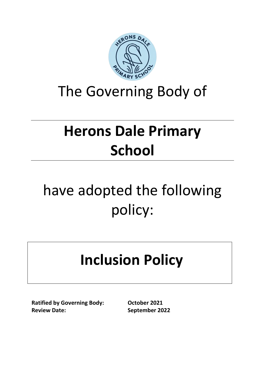

### The Governing Body of

## **Herons Dale Primary School**

# have adopted the following policy:

## **Inclusion Policy**

**Ratified by Governing Body: October 2021 Review Date:** September 2022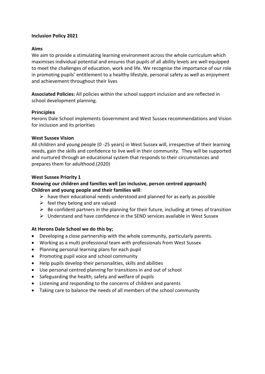#### **Inclusion Policy 2021**

#### **Aims**

We aim to provide a stimulating learning environment across the whole curriculum which maximises individual potential and ensures that pupils of all ability levels are well equipped to meet the challenges of education, work and life. We recognise the importance of our role in promoting pupils' entitlement to a healthy lifestyle, personal safety as well as enjoyment and achievement throughout their lives

**Associated Policies:** All policies within the school support inclusion and are reflected in school development planning.

#### **Principles**

Herons Dale School implements Government and West Sussex recommendations and Vision for inclusion and its priorities

#### **West Sussex Vision**

All children and young people (0 -25 years) in West Sussex will, irrespective of their learning needs, gain the skills and confidence to live well in their community. They will be supported and nurtured through an educational system that responds to their circumstances and prepares them for adulthood.(2020)

#### **West Sussex Priority 1**

#### **Knowing our children and families well (an inclusive, person centred approach) Children and young people and their families will**:

- $\triangleright$  have their educational needs understood and planned for as early as possible
- $\triangleright$  feel they belong and are valued
- $\triangleright$  Be confident partners in the planning for their future, including at times of transition
- $\triangleright$  Understand and have confidence in the SEND services available in West Sussex

#### **At Herons Dale School we do this by;**

- Developing a close partnership with the whole community, particularly parents.
- Working as a multi professional team with professionals from West Sussex
- Planning personal learning plans for each pupil
- Promoting pupil voice and school community
- Help pupils develop their personalities, skills and abilities
- Use personal centred planning for transitions in and out of school
- Safeguarding the health, safety and welfare of pupils
- Listening and responding to the concerns of children and parents
- Taking care to balance the needs of all members of the school community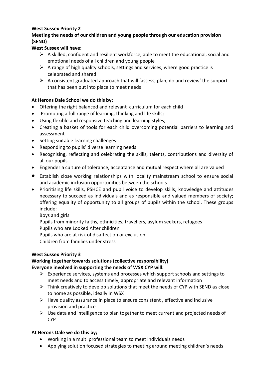#### **West Sussex Priority 2**

#### **Meeting the needs of our children and young people through our education provision (SEND)**

#### **West Sussex will have:**

- $\triangleright$  A skilled, confident and resilient workforce, able to meet the educational, social and emotional needs of all children and young people
- $\triangleright$  A range of high quality schools, settings and services, where good practice is celebrated and shared
- $\triangleright$  A consistent graduated approach that will 'assess, plan, do and review' the support that has been put into place to meet needs

#### **At Herons Dale School we do this by;**

- Offering the right balanced and relevant curriculum for each child
- Promoting a full range of learning, thinking and life skills;
- Using flexible and responsive teaching and learning styles;
- Creating a basket of tools for each child overcoming potential barriers to learning and assessment
- Setting suitable learning challenges
- Responding to pupils' diverse learning needs
- Recognising, reflecting and celebrating the skills, talents, contributions and diversity of all our pupils
- Engender a culture of tolerance, acceptance and mutual respect where all are valued
- Establish close working relationships with locality mainstream school to ensure social and academic inclusion opportunities between the schools
- Prioritising life skills, PSHCE and pupil voice to develop skills, knowledge and attitudes necessary to succeed as individuals and as responsible and valued members of society; offering equality of opportunity to all groups of pupils within the school. These groups include:

Boys and girls

Pupils from minority faiths, ethnicities, travellers, asylum seekers, refugees Pupils who are Looked After children Pupils who are at risk of disaffection or exclusion Children from families under stress

#### **West Sussex Priority 3**

#### **Working together towards solutions (collective responsibility) Everyone involved in supporting the needs of WSX CYP will:**

- $\triangleright$  Experience services, systems and processes which support schools and settings to meet needs and to access timely, appropriate and relevant information
- $\triangleright$  Think creatively to develop solutions that meet the needs of CYP with SEND as close to home as possible, ideally in WSX
- $\triangleright$  Have quality assurance in place to ensure consistent, effective and inclusive provision and practice
- ➢ Use data and intelligence to plan together to meet current and projected needs of CYP

#### **At Herons Dale we do this by;**

- Working in a multi professional team to meet individuals needs
- Applying solution focused strategies to meeting around meeting children's needs